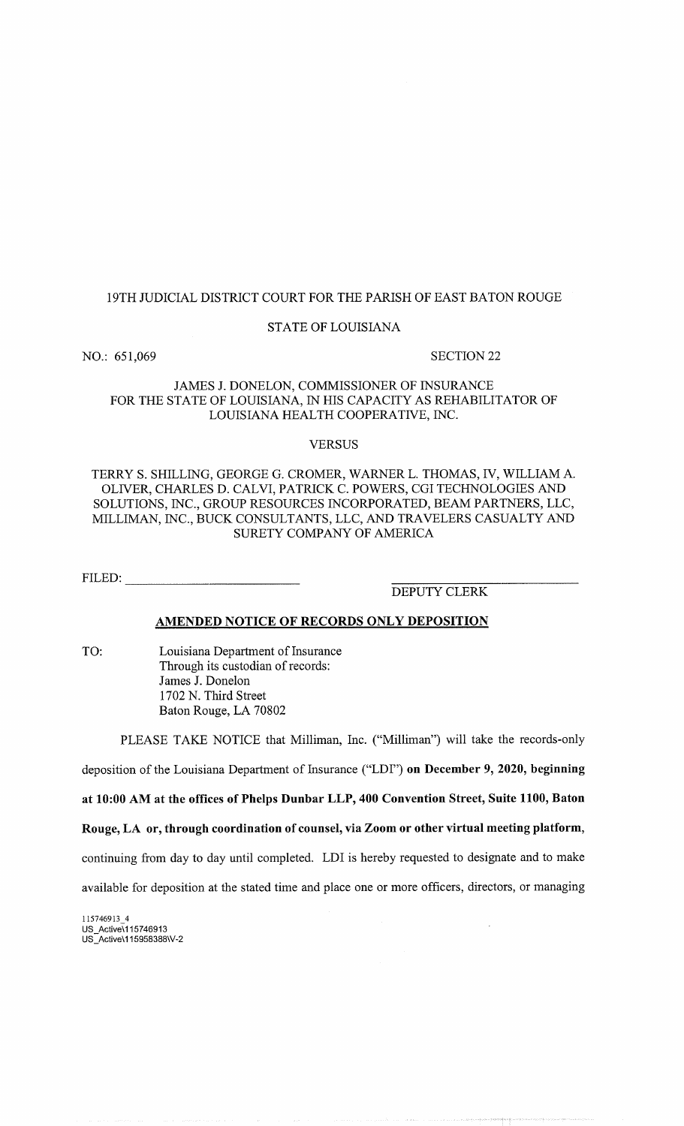# 19TH JUDICIAL DISTRICT COURT FOR THE PARISH OF EAST BATON ROUGE

#### STATE OF LOUISIANA

NO.: 651,069 SECTION 22

# JAMES J. DONELON, COMMISSIONER OF INSURANCE FOR THE STATE OF LOUISIANA, IN HIS CAPACITY AS REHABILITATOR OF LOUISIANA HEALTH COOPERATIVE, INC.

#### **VERSUS**

# TERRY S. SHILLING, GEORGE G. CROMER, WARNER L. THOMAS, IV, WILLIAM A. OLIVER, CHARLES D. CALVI, PATRICK C. POWERS, CGI TECHNOLOGIES AND SOLUTIONS, INC., GROUP RESOURCES INCORPORATED, BEAM PARTNERS, LLC, MILLIMAN, INC., BUCK CONSULTANTS, LLC, AND TRAVELERS CASUALTY AND SURETY COMPANY OF AMERICA

FILED:

DEPUTY CLERK

# AMENDED NOTICE OF RECORDS ONLY DEPOSITION

TO: Louisiana Department of Insurance Through its custodian of records: James J. Donelon 1702 N. Third Street Baton Rouge, LA 70802

PLEASE TAKE NOTICE that Milliman, Inc. ("Milliman") will take the records-only

deposition of the Louisiana Department of Insurance ("LDI") on December 9, 2020, beginning

at 10:00 AM at the offices of Phelps Dunbar LLP, 400 Convention Street, Suite 1100, Baton

Rouge, LA or, through coordination of counsel, via Zoom or other virtual meeting platform,

continuing from day to day until completed. LDI is hereby requested to designate and to make

available for deposition at the stated time and place one or more officers, directors, or managing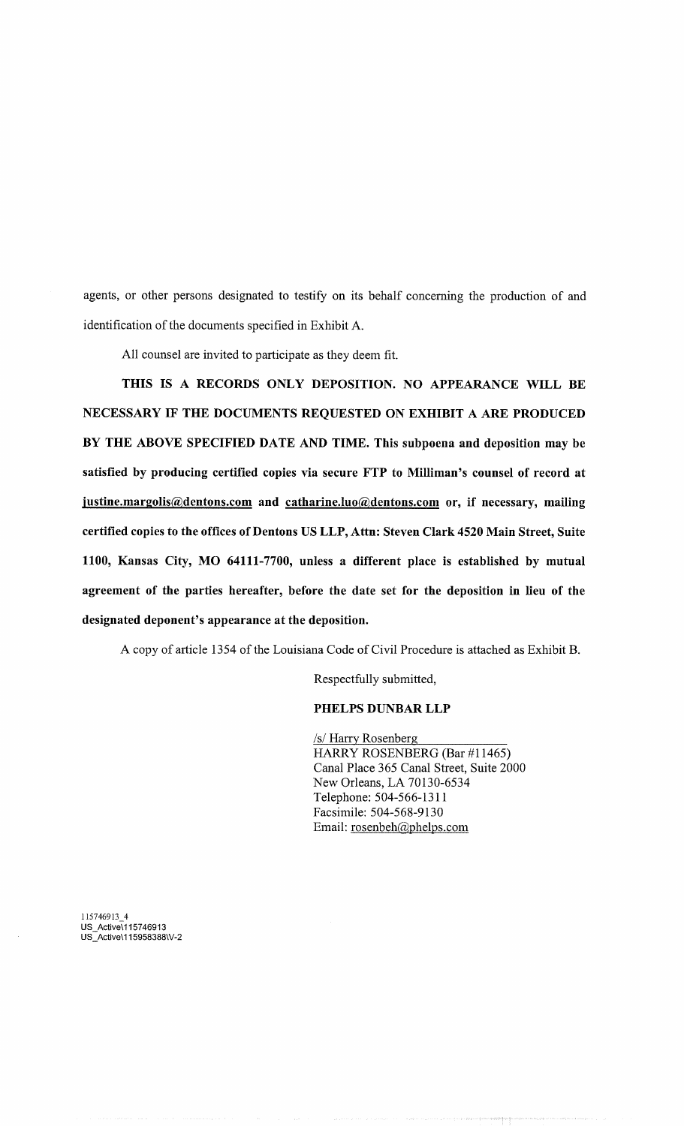agents, or other persons designated to testify on its behalf concerning the production of and identification of the documents specified in Exhibit A.

All counsel are invited to participate as they deem fit.

THIS IS A RECORDS ONLY DEPOSITION. NO APPEARANCE WILL BE NECESSARY IF THE DOCUMENTS REQUESTED ON EXHIBIT A ARE PRODUCED BY THE ABOVE SPECIFIED DATE AND TIME. This subpoena and deposition may be satisfied by producing certified copies via secure FTP to Milliman's counsel of record at justine.margolis@dentons.com and catharine.luo@dentons.com or, if necessary, mailing certified copies to the offices of Dentons US LLP, Attn: Steven Clark 4520 Main Street, Suite 1100, Kansas City, MO 64111-7700, unless a different place is established by mutual agreement of the parties hereafter, before the date set for the deposition in lieu of the designated deponent's appearance at the deposition.

A copy of article 1354 of the Louisiana Code of Civil Procedure is attached as Exhibit B.

Respectfully submitted,

# PHELPS DUNBAR LLP

/s/Harry Rosenberg HARRY ROSENBERG (Bar #11465) Canal Place 365 Canal Street, Suite 2000 New Orleans, LA 70130-6534 Telephone: 504-566-1311 Facsimile: 504-568-9130 Email: rosenbeh@phelps.com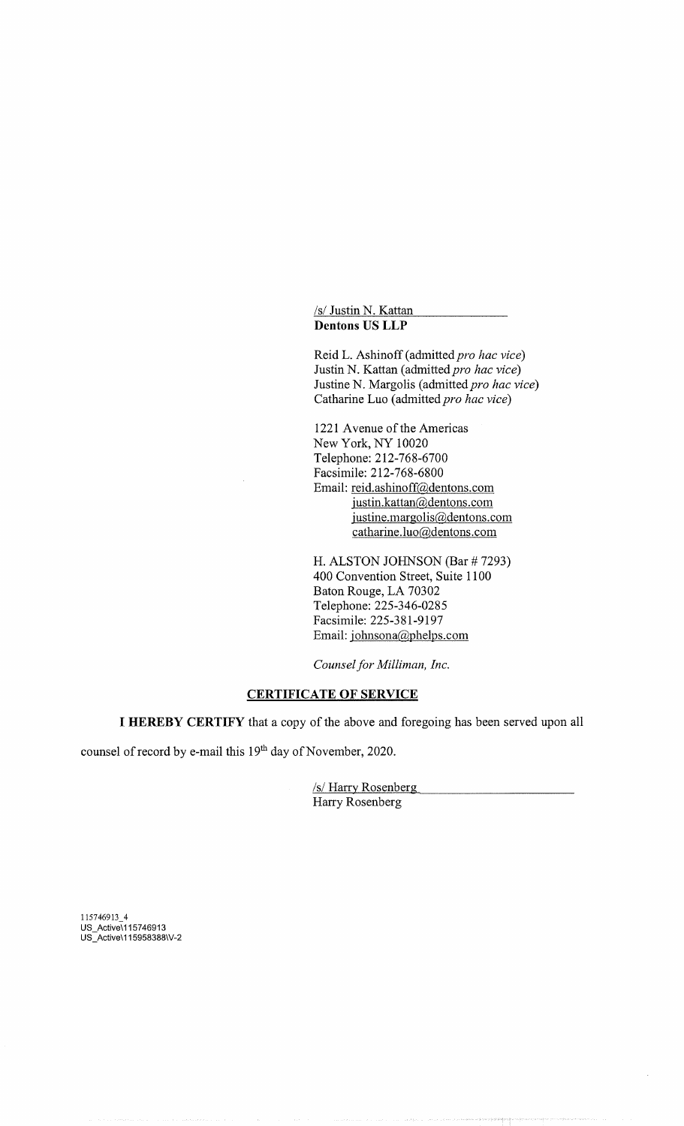/s/ Justin N. Kattan Dentons US LLP

Reid L. Ashinoff (admitted pro hac vice) Justin N. Kattan (admitted pro hac vice) Justine N. Margolis (admitted pro hac vice) Catharine Luo (admitted pro hac vice)

1221 Avenue of the Americas New York, NY 10020 Telephone: 212-768-6700 Facsimile: 212-768-6800 Email: reid.ashinoff@dentons.com justin.kattan@dentons.com iustine.margolis@dentons.com catharine.luo@dentons.com

H. ALSTON JOHNSON (Bar # 7293) 400 Convention Street, Suite 1100 Baton Rouge, LA 70302 Telephone: 225-346-0285 Facsimile: 225-381-9197 Email: johnsona@phelps.com

Counsel for Milliman, Inc.

# **CERTIFICATE OF SERVICE**

I HEREBY CERTIFY that a copy of the above and foregoing has been served upon all

counsel of record by e-mail this 19<sup>th</sup> day of November, 2020.

/s/Harry Rosenberg Harry Rosenberg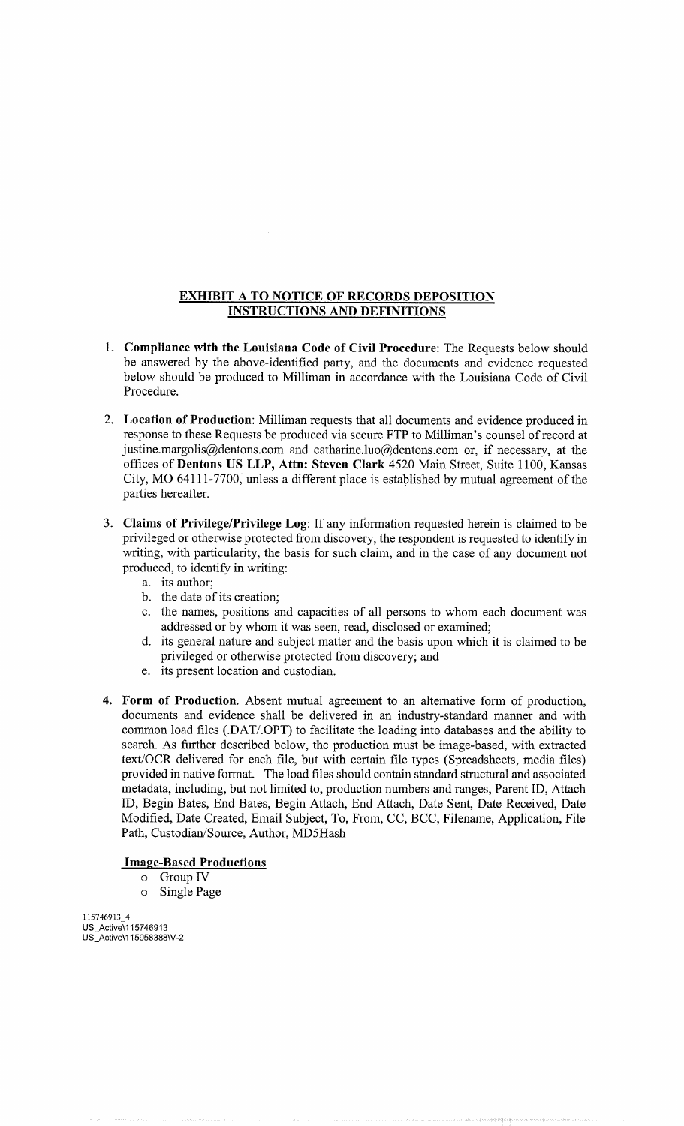# **EXHIBIT A TO NOTICE OF RECORDS DEPOSITION** INSTRUCTIONS AND DEFINITIONS

- 1. Compliance with the Louisiana Code of Civil Procedure: The Requests below should be answered by the above-identified party, and the documents and evidence requested below should be produced to Milliman in accordance with the Louisiana Code of Civil Procedure.
- 2. Location of Production: Milliman requests that all documents and evidence produced in response to these Requests be produced via secure FTP to Milliman's counsel of record at justine.margolis@dentons.com and catharine.luo@dentons.com or, if necessary, at the offices of Dentons US LLP, Attn: Steven Clark 4520 Main Street, Suite 1100, Kansas City, MO 64111-7700, unless a different place is established by mutual agreement of the parties hereafter.
- 3. Claims of Privilege/Privilege Log: If any information requested herein is claimed to be privileged or otherwise protected from discovery, the respondent is requested to identify in writing, with particularity, the basis for such claim, and in the case of any document not produced, to identify in writing:
	- a. its author;
	- b. the date of its creation;
	- c. the names, positions and capacities of all persons to whom each document was addressed or by whom it was seen, read, disclosed or examined;
	- d. its general nature and subject matter and the basis upon which it is claimed to be privileged or otherwise protected from discovery; and
	- e. its present location and custodian.
- 4. Form of Production. Absent mutual agreement to an alternative form of production, documents and evidence shall be delivered in an industry-standard manner and with common load files (.DAT/.OPT) to facilitate the loading into databases and the ability to search. As further described below, the production must be image-based, with extracted text/OCR delivered for each file, but with certain file types (Spreadsheets, media files) provided in native format. The load files should contain standard structural and associated metadata, including, but not limited to, production numbers and ranges, Parent ID, Attach ID, Begin Bates, End Bates, Begin Attach, End Attach, Date Sent, Date Received, Date Modified, Date Created, Email Subject, To, From, CC, BCC, Filename, Application, File Path, Custodian/Source, Author, MD5Hash

#### Image-Based Productions

- o Group IV
- o Single Page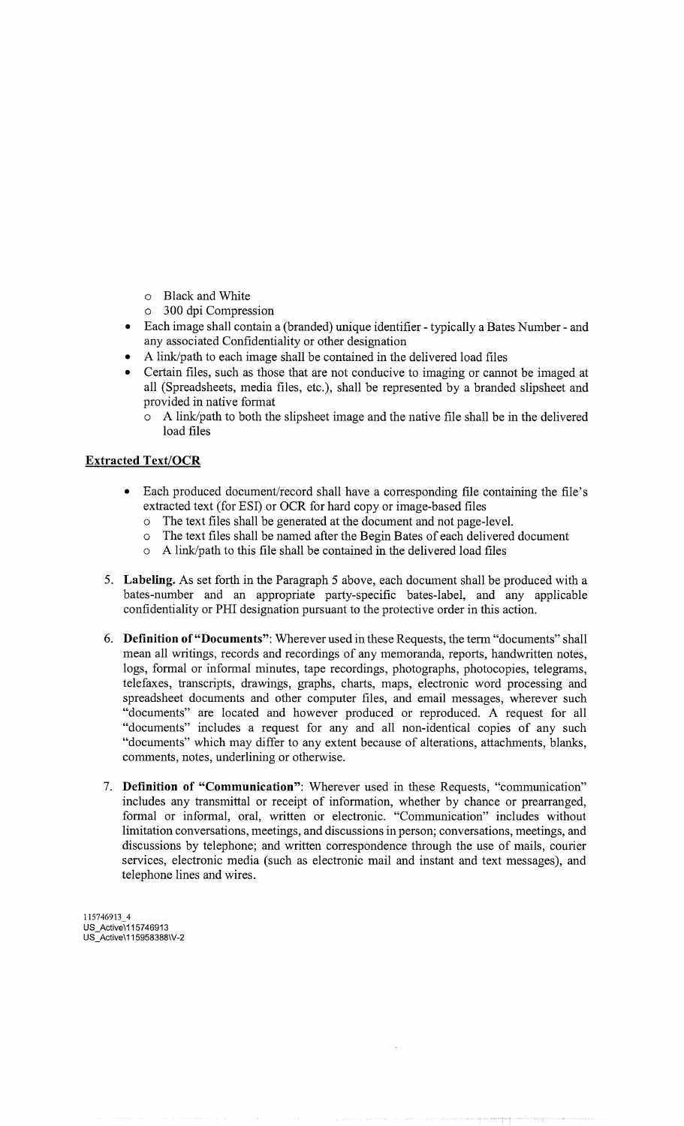- o Black and White
- o 300 dpi Compression
- Each image shall contain a (branded) unique identifier typically a Bates Number and any associated Confidentiality or other designation
- A link/path to each image shall be contained in the delivered load files
- Certain files, such as those that are not conducive to imaging or cannot be imaged at all (Spreadsheets, media files, etc.), shall be represented by a branded slipsheet and provided in native format
	- o A link/path to both the slipsheet image and the native file shall be in the delivered load files

# Extracted Text/OCR

- Each produced document/record shall have a corresponding file containing the file's extracted text (for ESI) or OCR for hard copy or image-based files
	- o The text files shall be generated at the document and not page-level.
	- o The text files shall be named after the Begin Bates of each delivered document
	- o A link/path to this file shall be contained in the delivered load files
- 5. Labeling. As set forth in the Paragraph 5 above, each document shall be produced with a bates-number and an appropriate party-specific bates-label, and any applicable confidentiality or PHI designation pursuant to the protective order in this action.
- 6. Definition of "Documents": Wherever used in these Requests, the term "documents" shall mean all writings, records and recordings of any memoranda, reports, handwritten notes, logs, formal or informal minutes, tape recordings, photographs, photocopies, telegrams, telefaxes, transcripts, drawings, graphs, charts, maps, electronic word processing and spreadsheet documents and other computer files, and email messages, wherever such "documents" are located and however produced or reproduced. A request for all "documents" includes a request for any and all non-identical copies of any such "documents" which may differ to any extent because of alterations, attachments, blanks, comments, notes, underlining or otherwise.
- 7. Definition of "Communication": Wherever used in these Requests, "communication" includes any transmittal or receipt of information, whether by chance or prearranged, formal or informal, oral, written or electronic. "Communication" includes without limitation conversations, meetings, and discussions in person; conversations, meetings, and discussions by telephone; and written correspondence through the use of mails, courier services, electronic media (such as electronic mail and instant and text messages), and telephone lines and wires.

<sup>1</sup> 15746913 4 US\_Active\115746913 US\_Active \ 115958388 \ V-2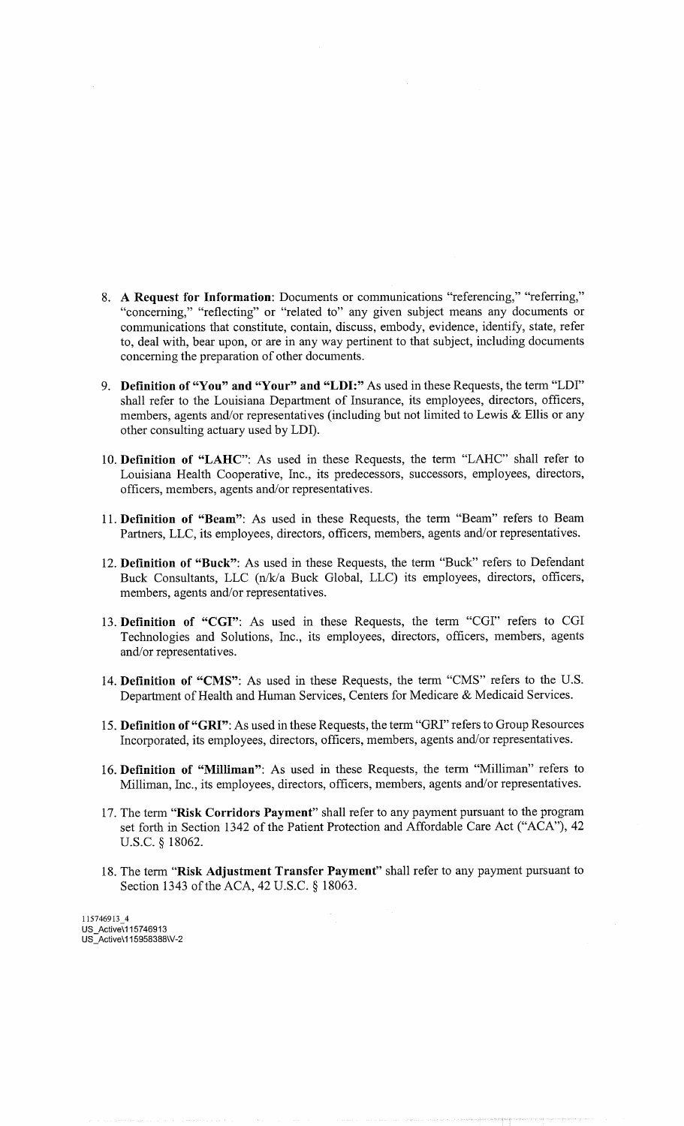- 8. A Request for Information: Documents or communications "referencing," "referring," "concerning," "reflecting" or "related to" any given subject means any documents or communications that constitute, contain, discuss, embody, evidence, identify, state, refer to, deal with, bear upon, or are in any way pertinent to that subject, including documents concerning the preparation of other documents.
- 9. Definition of "You" and "Your" and "LDI:" As used in these Requests, the term "LDI" shall refer to the Louisiana Department of Insurance, its employees, directors, officers, members, agents and/or representatives (including but not limited to Lewis & Ellis or any other consulting actuary used by LDI).
- 10. Definition of "LAHC": As used in these Requests, the term "LAHC" shall refer to Louisiana Health Cooperative, Inc., its predecessors, successors, employees, directors, officers, members, agents and/or representatives.
- <sup>1</sup> 1. Definition of "Beam": As used in these Requests, the term "Beam" refers to Beam Partners, LLC, its employees, directors, officers, members, agents and/or representatives.
- 12. Definition of "Buck": As used in these Requests, the term "Buck" refers to Defendant Buck Consultants, LLC (n/k/a Buck Global, LLC) its employees, directors, officers, members, agents and/or representatives.
- 13. Definition of "CGI": As used in these Requests, the term "CGI" refers to CGI Technologies and Solutions, Inc., its employees, directors, officers, members, agents and/or representatives.
- 14. Definition of "CMS": As used in these Requests, the term "CMS" refers to the U.S. Department of Health and Human Services, Centers for Medicare & Medicaid Services.
- 15. Definition of "GRI": As used in these Requests, the term "GRI" refers to Group Resources Incorporated, its employees, directors, officers, members, agents and/or representatives.
- 16. Definition of "Milliman": As used in these Requests, the term "Milliman" refers to Milliman, Inc., its employees, directors, officers, members, agents and/or representatives.
- 17. The term "Risk Corridors Payment" shall refer to any payment pursuant to the program set forth in Section 1342 of the Patient Protection and Affordable Care Act ("ACA"), 42 U.S.C. § 18062.
- 18. The term "Risk Adjustment Transfer Payment" shall refer to any payment pursuant to Section 1343 of the ACA, 42 U.S.C. § 18063.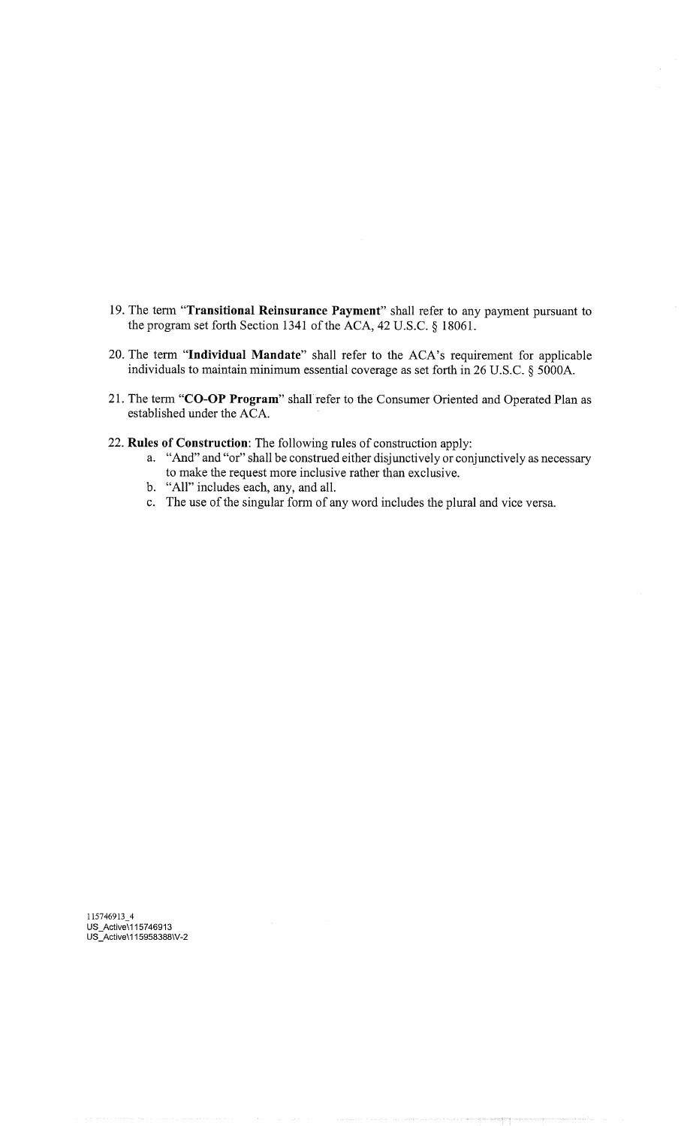- 19. The term "Transitional Reinsurance Payment" shall refer to any payment pursuant to the program set forth Section 1341 of the ACA, 42 U.S.C. § 18061.
- 20. The term "Individual Mandate" shall refer to the ACA's requirement for applicable individuals to maintain minimum essential coverage as set forth in 26 U.S.C. § 5000A.
- 21. The term "CO-OP Program" shall refer to the Consumer Oriented and Operated Plan as established under the ACA.
- 22. Rules of Construction: The following rules of construction apply:
	- a. "And" and "or" shall be construed either disjunctively or conjunctively as necessary to make the request more inclusive rather than exclusive.
	- b. "All" includes each, any, and all.
	- c. The use of the singular form of any word includes the plural and vice versa.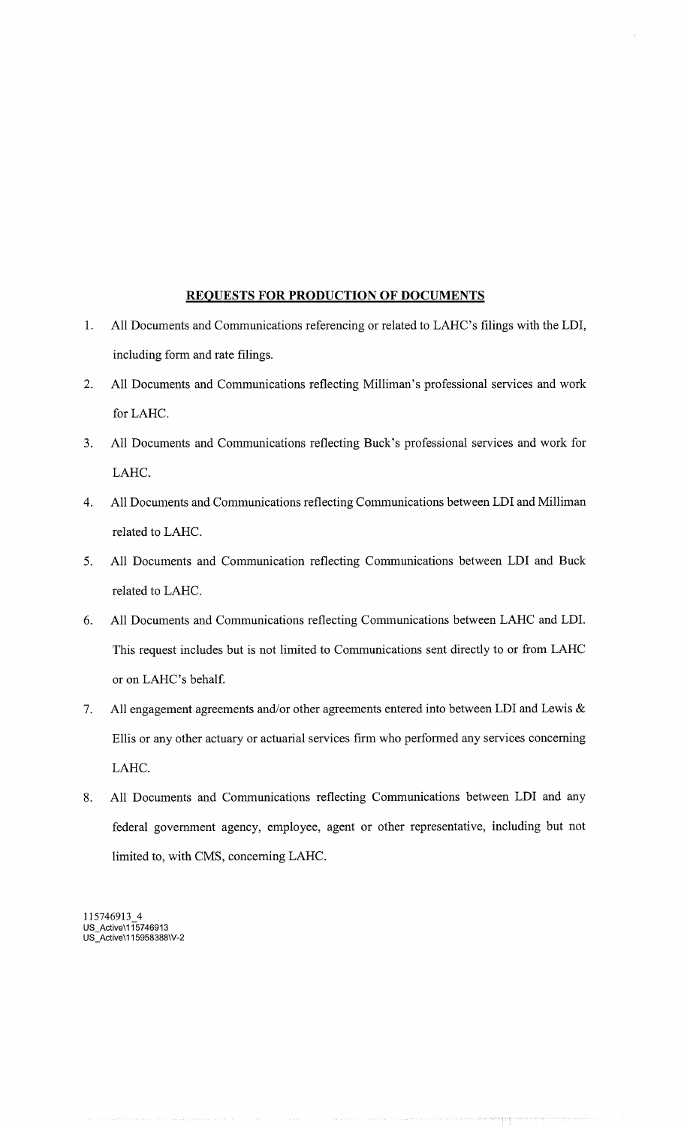# REQUESTS FOR PRODUCTION OF DOCUMENTS

- 1. All Documents and Communications referencing or related to LAHC's filings with the LDI, including form and rate filings.
- 2. All Documents and Communications reflecting Milliman's professional services and work for LAHC.
- 3. All Documents and Communications reflecting Buck's professional services and work for LAHC.
- 4. All Documents and Communications reflecting Communications between LDI and Milliman related to LAHC.
- 5. All Documents and Communication reflecting Communications between LDI and Buck related to LAHC.
- 6. All Documents and Communications reflecting Communications between LAHC and LDI. This request includes but is not limited to Communications sent directly to or from LAHC or on LAHC's behalf.
- 7. All engagement agreements and/or other agreements entered into between LDI and Lewis & Ellis or any other actuary or actuarial services firm who performed any services concerning LAHC.
- 8. All Documents and Communications reflecting Communications between LDI and any federal government agency, employee, agent or other representative, including but not limited to, with CMS, concerning LAHC.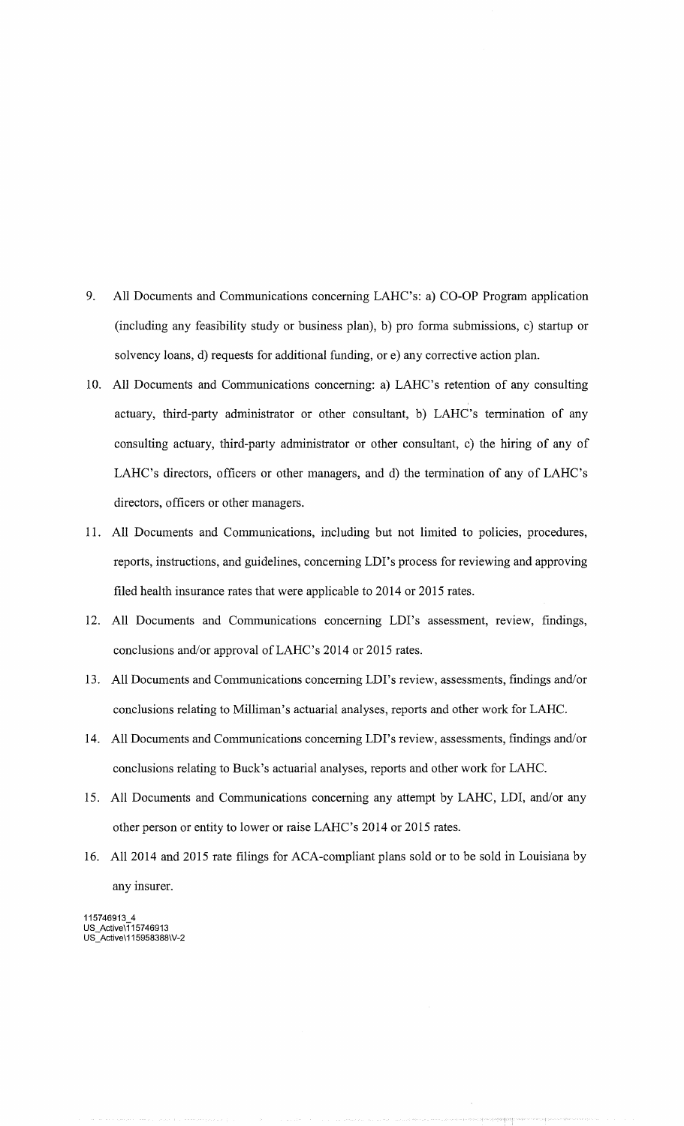- 9. All Documents and Communications concerning LAHC's: a) CO-OP Program application (including any feasibility study or business plan), b) pro forma submissions, c) startup or solvency loans, d) requests for additional funding, or e) any corrective action plan.
- 10. All Documents and Communications concerning: a) LAHC's retention of any consulting actuary, third-party administrator or other consultant, b) LAHC's termination of any consulting actuary, third-party administrator or other consultant, c) the hiring of any of LAHC's directors, officers or other managers, and d) the termination of any of LAHC's directors, officers or other managers.
- 11. All Documents and Communications, including but not limited to policies, procedures, reports, instructions, and guidelines, concerning LDI's process for reviewing and approving filed health insurance rates that were applicable to 2014 or 2015 rates.
- 12. All Documents and Communications concerning LDI's assessment, review, findings, conclusions and/or approval of LAHC's 2014 or 2015 rates.
- 13. All Documents and Communications concerning LDI's review, assessments, findings and/or conclusions relating to Milliman's actuarial analyses, reports and other work for LAHC.
- 14. All Documents and Communications concerning LDI's review, assessments, findings and/or conclusions relating to Buck's actuarial analyses, reports and other work for LAHC.
- 15. All Documents and Communications concerning any attempt by LAHC, LDI, and/or any other person or entity to lower or raise LAHC's 2014 or 2015 rates.
- 16. All 2014 and 2015 rate filings for ACA-compliant plans sold or to be sold in Louisiana by any insurer.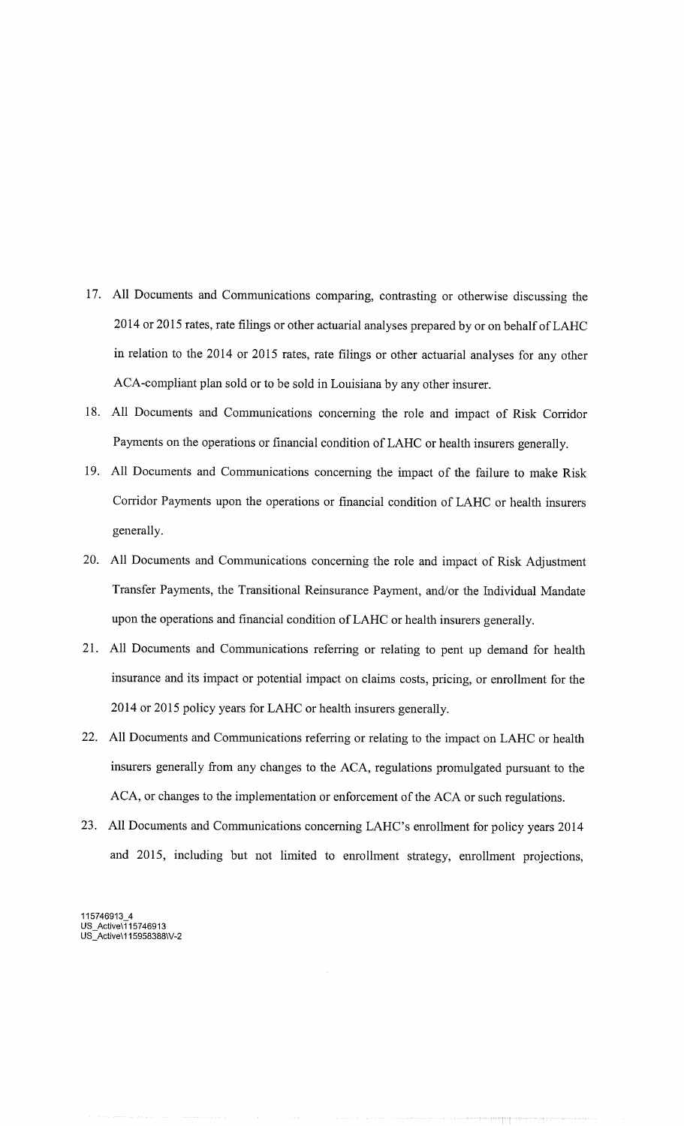- 17. All Documents and Communications comparing, contrasting or otherwise discussing the 2014 or 2015 rates, rate filings or other actuarial analyses prepared by or on behalf of LAHC in relation to the 2014 or 2015 rates, rate filings or other actuarial analyses for any other ACA-compliant plan sold or to be sold in Louisiana by any other insurer.
- 18. All Documents and Communications concerning the role and impact of Risk Corridor Payments on the operations or financial condition of LAHC or health insurers generally.
- 19. All Documents and Communications concerning the impact of the failure to make Risk Corridor Payments upon the operations or financial condition of LAHC or health insurers generally.
- 20. All Documents and Communications concerning the role and impact of Risk Adjustment Transfer Payments, the Transitional Reinsurance Payment, and/or the Individual Mandate upon the operations and financial condition of LAHC or health insurers generally.
- 21. All Documents and Communications referring or relating to pent up demand for health insurance and its impact or potential impact on claims costs, pricing, or enrollment for the 2014 or 2015 policy years for LAHC or health insurers generally.
- 22. All Documents and Communications referring or relating to the impact on LAHC or health insurers generally from any changes to the ACA, regulations promulgated pursuant to the ACA, or changes to the implementation or enforcement of the ACA or such regulations.
- 23. All Documents and Communications concerning LAHC's enrollment for policy years 2014 and 2015, including but not limited to enrollment strategy, enrollment projections,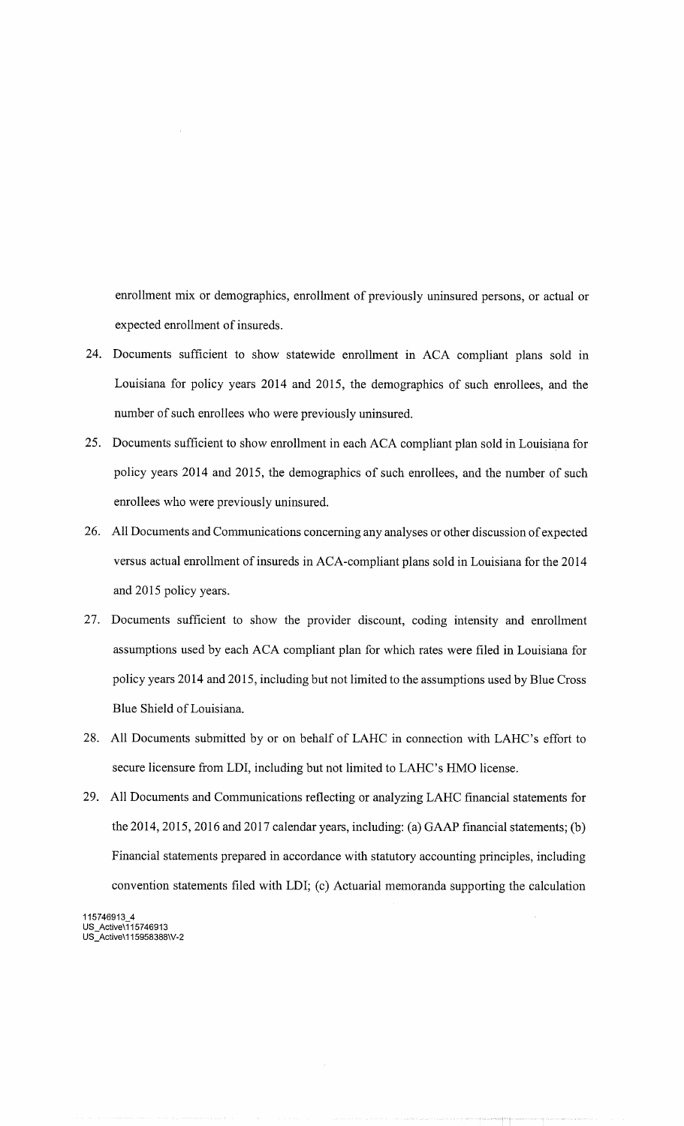enrollment mix or demographics, enrollment of previously uninsured persons, or actual or expected enrollment of insureds.

- 24. Documents sufficient to show statewide enrollment in ACA compliant plans sold in Louisiana for policy years 2014 and 2015, the demographics of such enrollees, and the number of such enrollees who were previously uninsured.
- 25. Documents sufficient to show enrollment in each ACA compliant plan sold in Louisiana for policy years 2014 and 2015, the demographics of such enrollees, and the number of such enrollees who were previously uninsured.
- 26. All Documents and Communications concerning any analyses or other discussion of expected versus actual enrollment of insureds in ACA-compliant plans sold in Louisiana for the 2014 and 2015 policy years.
- 27. Documents sufficient to show the provider discount, coding intensity and enrollment assumptions used by each ACA compliant plan for which rates were filed in Louisiana for policy years 2014 and 2015, including but not limited to the assumptions used by Blue Cross Blue Shield of Louisiana.
- 28. All Documents submitted by or on behalf of LAHC in connection with LAHC's effort to secure licensure from LDI, including but not limited to LAHC's HMO license.
- 29. All Documents and Communications reflecting or analyzing LAHC financial statements for the 2014, 2015, 2016 and 2017 calendar years, including: (a) GAAP financial statements; (b) Financial statements prepared in accordance with statutory accounting principles, including convention statements filed with LDI; (c) Actuarial memoranda supporting the calculation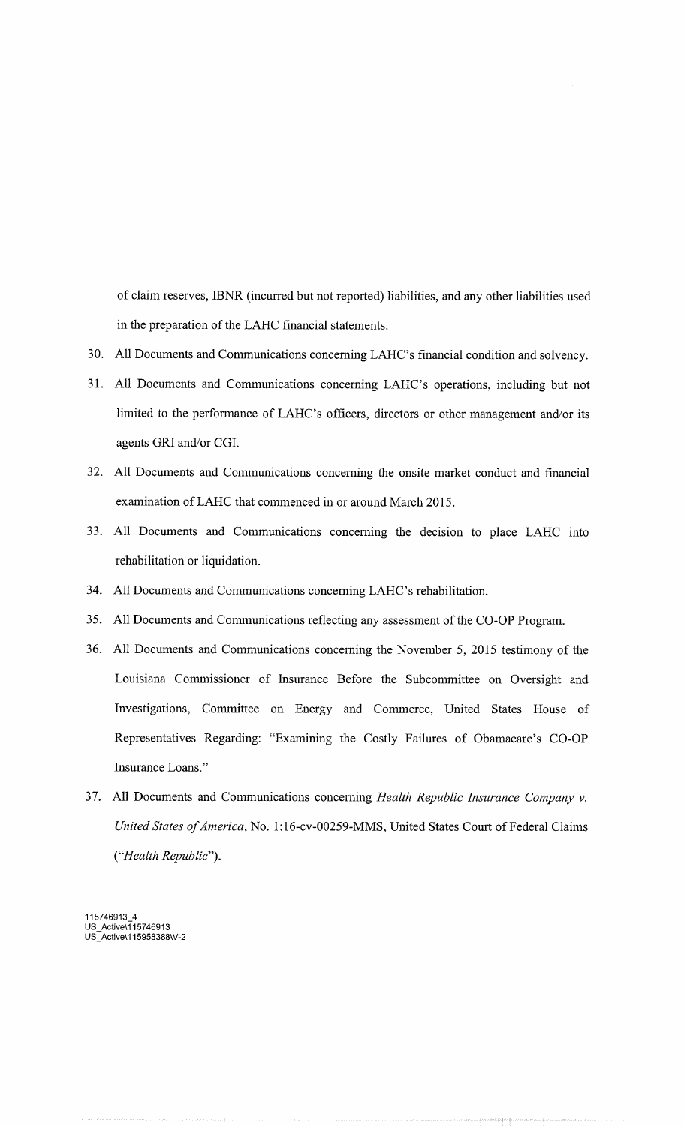of claim reserves, IBNR (incurred but not reported) liabilities, and any other liabilities used in the preparation of the LAHC financial statements.

- 30. All Documents and Communications concerning LAHC's financial condition and solvency.
- 31. All Documents and Communications concerning LAHC's operations, including but not limited to the performance of LAHC's officers, directors or other management and/or its agents GRI and/or CGI.
- 32. All Documents and Communications concerning the onsite market conduct and financial examination of LAHC that commenced in or around March 2015.
- 33. All Documents and Communications concerning the decision to place LAHC into rehabilitation or liquidation.
- 34. All Documents and Communications concerning LAHC's rehabilitation.
- 35. All Documents and Communications reflecting any assessment of the CO-OP Program.
- 36. All Documents and Communications concerning the November 5, 2015 testimony of the Louisiana Commissioner of Insurance Before the Subcommittee on Oversight and Investigations, Committee on Energy and Commerce, United States House of Representatives Regarding: "Examining the Costly Failures of Obamacare's CO-OP Insurance Loans."
- 37. All Documents and Communications concerning Health Republic Insurance Company v. United States of America, No. 1:16-cv-00259-MMS, United States Court of Federal Claims ("Health Republic").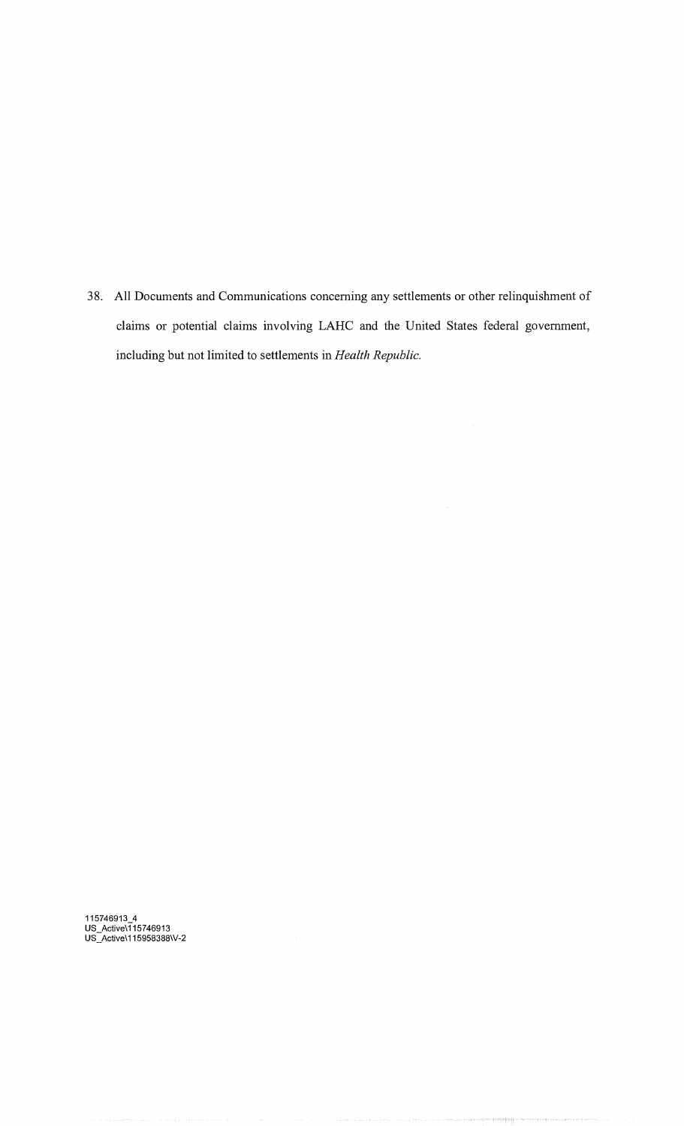38. All Documents and Communications concerning any settlements or other relinquishment of claims or potential claims involving LAHC and the United States federal government, including but not limited to settlements in Health Republic.

 $\bar{\gamma}$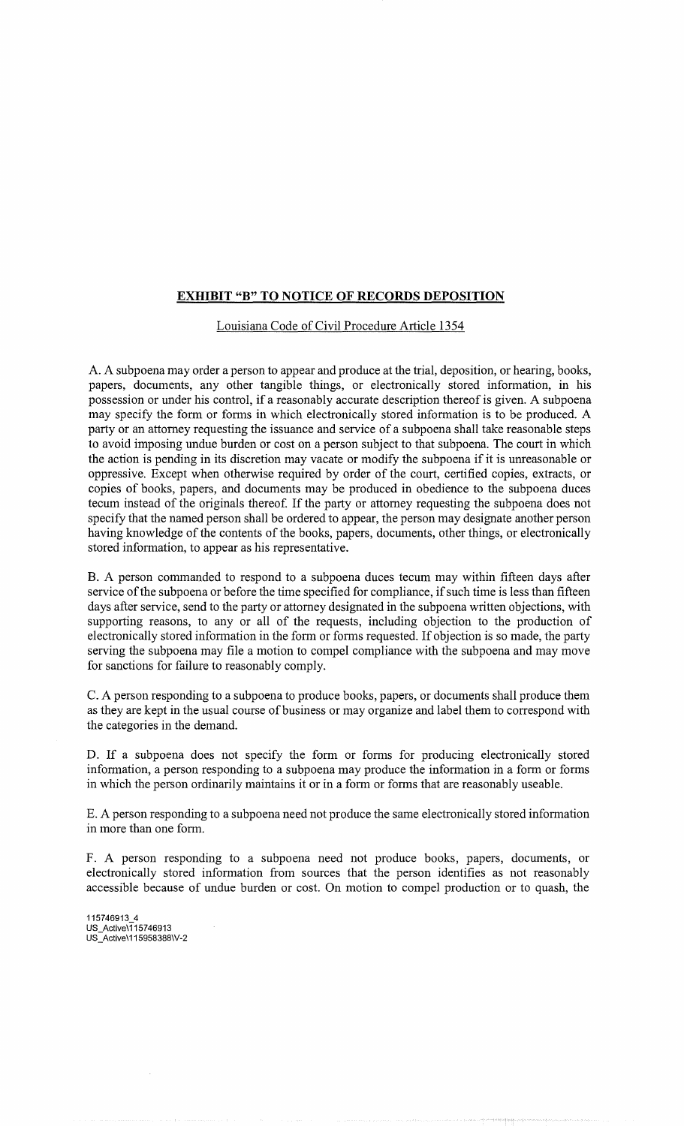# **EXHIBIT "B" TO NOTICE OF RECORDS DEPOSITION**

Louisiana Code of Civil Procedure Article 1354

A. A subpoena may order a person to appear and produce at the trial, deposition, or hearing, books, papers, documents, any other tangible things, or electronically stored information, in his possession or under his control, if a reasonably accurate description thereof is given. A subpoena may specify the form or forms in which electronically stored information is to be produced. A party or an attorney requesting the issuance and service of a subpoena shall take reasonable steps to avoid imposing undue burden or cost on a person subject to that subpoena. The court in which the action is pending in its discretion may vacate or modify the subpoena if it is unreasonable or oppressive. Except when otherwise required by order of the court, certified copies, extracts, or copies of books, papers, and documents may be produced in obedience to the subpoena duces tecum instead of the originals thereof. If the party or attorney requesting the subpoena does not specify that the named person shall be ordered to appear, the person may designate another person having knowledge of the contents of the books, papers, documents, other things, or electronically stored information, to appear as his representative.

B. A person commanded to respond to a subpoena duces tecum may within fifteen days after service of the subpoena or before the time specified for compliance, if such time is less than fifteen days after service, send to the party or attorney designated in the subpoena written objections, with supporting reasons, to any or all of the requests, including objection to the production of electronically stored information in the form or forms requested. If objection is so made, the party serving the subpoena may file a motion to compel compliance with the subpoena and may move for sanctions for failure to reasonably comply.

C. A person responding to a subpoena to produce books, papers, or documents shall produce them as they are kept in the usual course of business or may organize and label them to correspond with the categories in the demand.

D. If a subpoena does not specify the form or forms for producing electronically stored information, a person responding to a subpoena may produce the information in a form or forms in which the person ordinarily maintains it or in a form or forms that are reasonably useable.

E. A person responding to a subpoena need not produce the same electronically stored information in more than one form.

F. A person responding to a subpoena need not produce books, papers, documents, or electronically stored information from sources that the person identifies as not reasonably accessible because of undue burden or cost. On motion to compel production or to quash, the